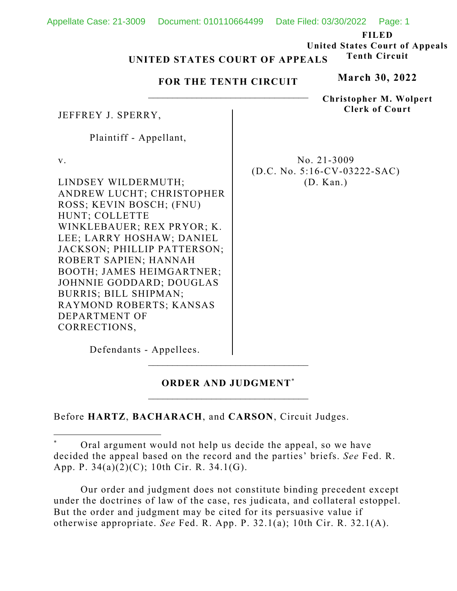|                                                          | Appellate Case: 21-3009  Document: 010110664499  Date Filed: 03/30/2022  Page: 1 |                                |                                       |  |
|----------------------------------------------------------|----------------------------------------------------------------------------------|--------------------------------|---------------------------------------|--|
|                                                          |                                                                                  |                                | <b>FILED</b>                          |  |
|                                                          |                                                                                  |                                | <b>United States Court of Appeals</b> |  |
| <b>Tenth Circuit</b><br>UNITED STATES COURT OF APPEALS   |                                                                                  |                                |                                       |  |
| FOR THE TENTH CIRCUIT                                    |                                                                                  |                                | <b>March 30, 2022</b>                 |  |
|                                                          |                                                                                  |                                | <b>Christopher M. Wolpert</b>         |  |
| JEFFREY J. SPERRY,                                       |                                                                                  | <b>Clerk of Court</b>          |                                       |  |
| Plaintiff - Appellant,                                   |                                                                                  |                                |                                       |  |
| V.                                                       |                                                                                  | No. $21-3009$                  |                                       |  |
|                                                          |                                                                                  | $(D.C. No. 5:16-CV-03222-SAC)$ |                                       |  |
| LINDSEY WILDERMUTH;                                      |                                                                                  | (D. Kan.)                      |                                       |  |
| ANDREW LUCHT; CHRISTOPHER                                |                                                                                  |                                |                                       |  |
| ROSS; KEVIN BOSCH; (FNU)                                 |                                                                                  |                                |                                       |  |
| HUNT; COLLETTE                                           |                                                                                  |                                |                                       |  |
| WINKLEBAUER; REX PRYOR; K.                               |                                                                                  |                                |                                       |  |
| LEE; LARRY HOSHAW; DANIEL<br>JACKSON; PHILLIP PATTERSON; |                                                                                  |                                |                                       |  |
| ROBERT SAPIEN; HANNAH                                    |                                                                                  |                                |                                       |  |
| BOOTH; JAMES HEIMGARTNER;                                |                                                                                  |                                |                                       |  |
| JOHNNIE GODDARD; DOUGLAS                                 |                                                                                  |                                |                                       |  |
| BURRIS; BILL SHIPMAN;                                    |                                                                                  |                                |                                       |  |
| RAYMOND ROBERTS; KANSAS                                  |                                                                                  |                                |                                       |  |
| DEPARTMENT OF                                            |                                                                                  |                                |                                       |  |
| CORRECTIONS,                                             |                                                                                  |                                |                                       |  |
| Defendants - Appellees.                                  |                                                                                  |                                |                                       |  |

# **ORDER AND JUDGMENT**\*

 $\mathcal{L}_\text{max}$ 

Before **HARTZ**, **BACHARACH**, and **CARSON**, Circuit Judges.

 Our order and judgment does not constitute binding precedent except under the doctrines of law of the case, res judicata, and collateral estoppel. But the order and judgment may be cited for its persuasive value if otherwise appropriate. *See* Fed. R. App. P. 32.1(a); 10th Cir. R. 32.1(A).

Oral argument would not help us decide the appeal, so we have decided the appeal based on the record and the parties' briefs. *See* Fed. R. App. P. 34(a)(2)(C); 10th Cir. R. 34.1(G).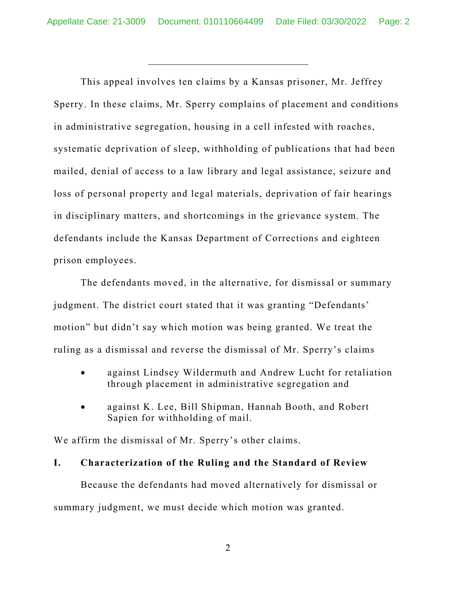\_\_\_\_\_\_\_\_\_\_\_\_\_\_\_\_\_\_\_\_\_\_\_\_\_\_\_\_\_\_\_\_\_

This appeal involves ten claims by a Kansas prisoner, Mr. Jeffrey Sperry. In these claims, Mr. Sperry complains of placement and conditions in administrative segregation, housing in a cell infested with roaches, systematic deprivation of sleep, withholding of publications that had been mailed, denial of access to a law library and legal assistance, seizure and loss of personal property and legal materials, deprivation of fair hearings in disciplinary matters, and shortcomings in the grievance system. The defendants include the Kansas Department of Corrections and eighteen prison employees.

The defendants moved, in the alternative, for dismissal or summary judgment. The district court stated that it was granting "Defendants' motion" but didn't say which motion was being granted. We treat the ruling as a dismissal and reverse the dismissal of Mr. Sperry's claims

- against Lindsey Wildermuth and Andrew Lucht for retaliation through placement in administrative segregation and
- against K. Lee, Bill Shipman, Hannah Booth, and Robert Sapien for withholding of mail.

We affirm the dismissal of Mr. Sperry's other claims.

# **I. Characterization of the Ruling and the Standard of Review**

Because the defendants had moved alternatively for dismissal or summary judgment, we must decide which motion was granted.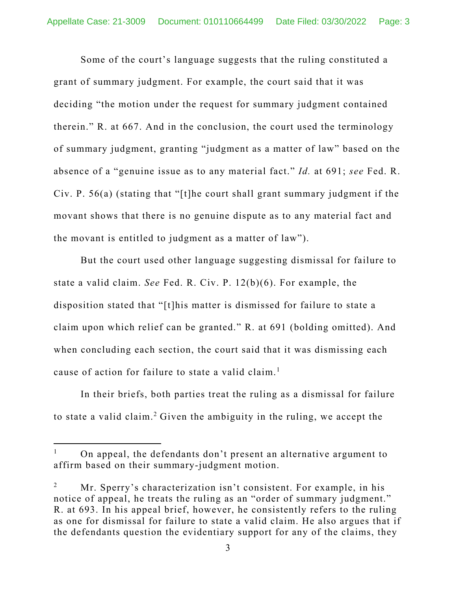Some of the court's language suggests that the ruling constituted a grant of summary judgment. For example, the court said that it was deciding "the motion under the request for summary judgment contained therein." R. at 667. And in the conclusion, the court used the terminology of summary judgment, granting "judgment as a matter of law" based on the absence of a "genuine issue as to any material fact." *Id.* at 691; *see* Fed. R. Civ. P. 56(a) (stating that "[t]he court shall grant summary judgment if the movant shows that there is no genuine dispute as to any material fact and the movant is entitled to judgment as a matter of law").

But the court used other language suggesting dismissal for failure to state a valid claim. *See* Fed. R. Civ. P. 12(b)(6). For example, the disposition stated that "[t]his matter is dismissed for failure to state a claim upon which relief can be granted." R. at 691 (bolding omitted). And when concluding each section, the court said that it was dismissing each cause of action for failure to state a valid claim.<sup>1</sup>

In their briefs, both parties treat the ruling as a dismissal for failure to state a valid claim.<sup>2</sup> Given the ambiguity in the ruling, we accept the

<sup>1</sup> On appeal, the defendants don't present an alternative argument to affirm based on their summary-judgment motion.

<sup>2</sup> Mr. Sperry's characterization isn't consistent. For example, in his notice of appeal, he treats the ruling as an "order of summary judgment." R. at 693. In his appeal brief, however, he consistently refers to the ruling as one for dismissal for failure to state a valid claim. He also argues that if the defendants question the evidentiary support for any of the claims, they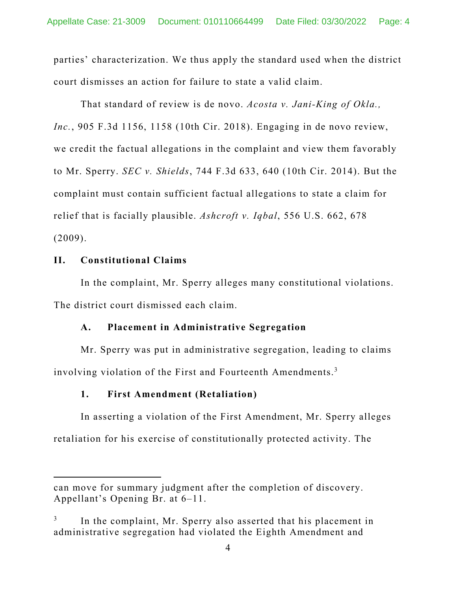parties' characterization. We thus apply the standard used when the district court dismisses an action for failure to state a valid claim.

That standard of review is de novo. *Acosta v. Jani-King of Okla., Inc.*, 905 F.3d 1156, 1158 (10th Cir. 2018). Engaging in de novo review, we credit the factual allegations in the complaint and view them favorably to Mr. Sperry. *SEC v. Shields*, 744 F.3d 633, 640 (10th Cir. 2014). But the complaint must contain sufficient factual allegations to state a claim for relief that is facially plausible. *Ashcroft v. Iqbal*, 556 U.S. 662, 678 (2009).

# **II. Constitutional Claims**

In the complaint, Mr. Sperry alleges many constitutional violations. The district court dismissed each claim.

# **A. Placement in Administrative Segregation**

Mr. Sperry was put in administrative segregation, leading to claims involving violation of the First and Fourteenth Amendments.<sup>3</sup>

# **1. First Amendment (Retaliation)**

In asserting a violation of the First Amendment, Mr. Sperry alleges retaliation for his exercise of constitutionally protected activity. The

can move for summary judgment after the completion of discovery. Appellant's Opening Br. at 6–11.

<sup>3</sup> In the complaint, Mr. Sperry also asserted that his placement in administrative segregation had violated the Eighth Amendment and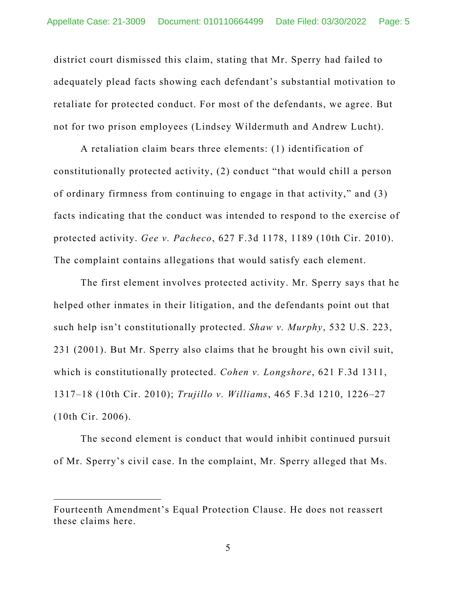district court dismissed this claim, stating that Mr. Sperry had failed to adequately plead facts showing each defendant's substantial motivation to retaliate for protected conduct. For most of the defendants, we agree. But not for two prison employees (Lindsey Wildermuth and Andrew Lucht).

A retaliation claim bears three elements: (1) identification of constitutionally protected activity, (2) conduct "that would chill a person of ordinary firmness from continuing to engage in that activity," and (3) facts indicating that the conduct was intended to respond to the exercise of protected activity. *Gee v. Pacheco*, 627 F.3d 1178, 1189 (10th Cir. 2010). The complaint contains allegations that would satisfy each element.

The first element involves protected activity. Mr. Sperry says that he helped other inmates in their litigation, and the defendants point out that such help isn't constitutionally protected. *Shaw v. Murphy*, 532 U.S. 223, 231 (2001). But Mr. Sperry also claims that he brought his own civil suit, which is constitutionally protected. *Cohen v. Longshore*, 621 F.3d 1311, 1317–18 (10th Cir. 2010); *Trujillo v. Williams*, 465 F.3d 1210, 1226–27 (10th Cir. 2006).

The second element is conduct that would inhibit continued pursuit of Mr. Sperry's civil case. In the complaint, Mr. Sperry alleged that Ms.

Fourteenth Amendment's Equal Protection Clause. He does not reassert these claims here.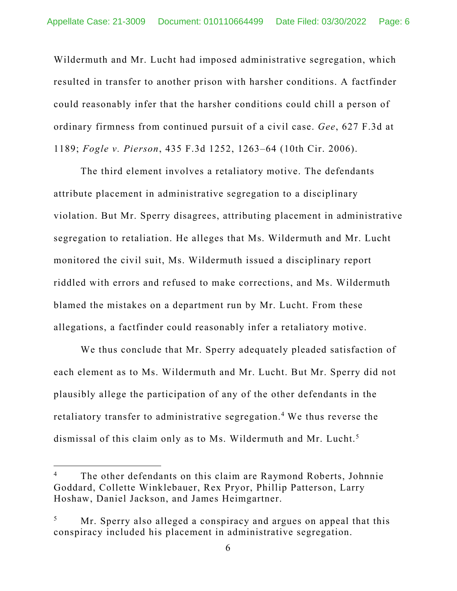Wildermuth and Mr. Lucht had imposed administrative segregation, which resulted in transfer to another prison with harsher conditions. A factfinder could reasonably infer that the harsher conditions could chill a person of ordinary firmness from continued pursuit of a civil case. *Gee*, 627 F.3d at 1189; *Fogle v. Pierson*, 435 F.3d 1252, 1263–64 (10th Cir. 2006).

The third element involves a retaliatory motive. The defendants attribute placement in administrative segregation to a disciplinary violation. But Mr. Sperry disagrees, attributing placement in administrative segregation to retaliation. He alleges that Ms. Wildermuth and Mr. Lucht monitored the civil suit, Ms. Wildermuth issued a disciplinary report riddled with errors and refused to make corrections, and Ms. Wildermuth blamed the mistakes on a department run by Mr. Lucht. From these allegations, a factfinder could reasonably infer a retaliatory motive.

We thus conclude that Mr. Sperry adequately pleaded satisfaction of each element as to Ms. Wildermuth and Mr. Lucht. But Mr. Sperry did not plausibly allege the participation of any of the other defendants in the retaliatory transfer to administrative segregation.<sup>4</sup> We thus reverse the dismissal of this claim only as to Ms. Wildermuth and Mr. Lucht.5

<sup>4</sup> The other defendants on this claim are Raymond Roberts, Johnnie Goddard, Collette Winklebauer, Rex Pryor, Phillip Patterson, Larry Hoshaw, Daniel Jackson, and James Heimgartner.

<sup>5</sup> Mr. Sperry also alleged a conspiracy and argues on appeal that this conspiracy included his placement in administrative segregation.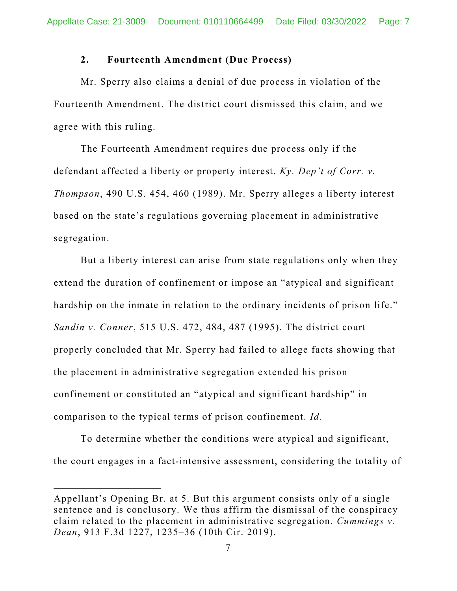# **2. Fourteenth Amendment (Due Process)**

Mr. Sperry also claims a denial of due process in violation of the Fourteenth Amendment. The district court dismissed this claim, and we agree with this ruling.

The Fourteenth Amendment requires due process only if the defendant affected a liberty or property interest. *Ky. Dep't of Corr. v. Thompson*, 490 U.S. 454, 460 (1989). Mr. Sperry alleges a liberty interest based on the state's regulations governing placement in administrative segregation.

But a liberty interest can arise from state regulations only when they extend the duration of confinement or impose an "atypical and significant hardship on the inmate in relation to the ordinary incidents of prison life." *Sandin v. Conner*, 515 U.S. 472, 484, 487 (1995). The district court properly concluded that Mr. Sperry had failed to allege facts showing that the placement in administrative segregation extended his prison confinement or constituted an "atypical and significant hardship" in comparison to the typical terms of prison confinement. *Id.* 

To determine whether the conditions were atypical and significant, the court engages in a fact-intensive assessment, considering the totality of

Appellant's Opening Br. at 5. But this argument consists only of a single sentence and is conclusory. We thus affirm the dismissal of the conspiracy claim related to the placement in administrative segregation. *Cummings v. Dean*, 913 F.3d 1227, 1235–36 (10th Cir. 2019).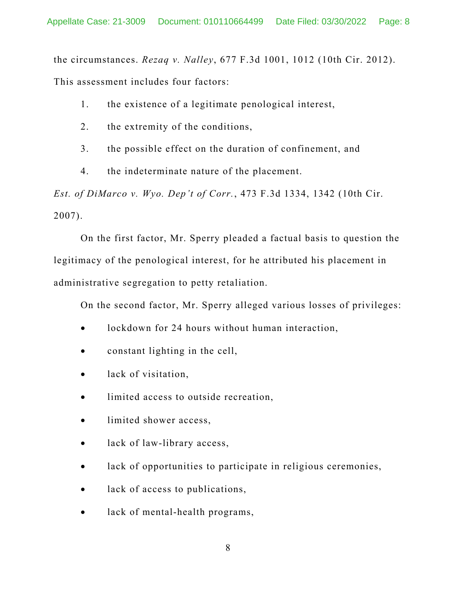the circumstances. *Rezaq v. Nalley*, 677 F.3d 1001, 1012 (10th Cir. 2012). This assessment includes four factors:

- 1. the existence of a legitimate penological interest,
- 2. the extremity of the conditions,
- 3. the possible effect on the duration of confinement, and
- 4. the indeterminate nature of the placement.

*Est. of DiMarco v. Wyo. Dep't of Corr.*, 473 F.3d 1334, 1342 (10th Cir. 2007).

On the first factor, Mr. Sperry pleaded a factual basis to question the legitimacy of the penological interest, for he attributed his placement in administrative segregation to petty retaliation.

On the second factor, Mr. Sperry alleged various losses of privileges:

- lockdown for 24 hours without human interaction,
- constant lighting in the cell,
- lack of visitation,
- limited access to outside recreation,
- limited shower access,
- lack of law-library access,
- lack of opportunities to participate in religious ceremonies,
- lack of access to publications,
- lack of mental-health programs,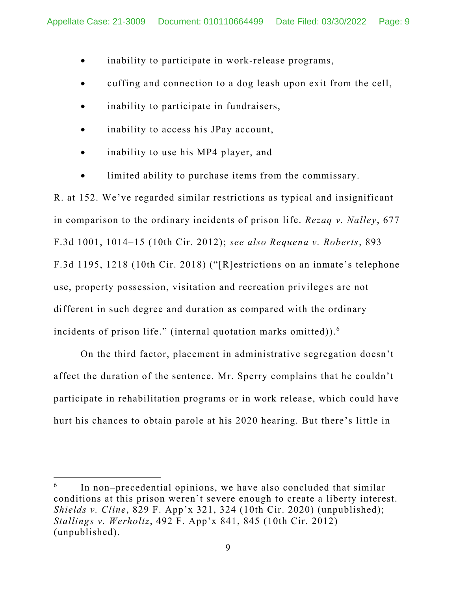- inability to participate in work-release programs,
- cuffing and connection to a dog leash upon exit from the cell,
- inability to participate in fundraisers,
- inability to access his JPay account,
- inability to use his MP4 player, and
- limited ability to purchase items from the commissary.

R. at 152. We've regarded similar restrictions as typical and insignificant in comparison to the ordinary incidents of prison life. *Rezaq v. Nalley*, 677 F.3d 1001, 1014–15 (10th Cir. 2012); *see also Requena v. Roberts*, 893 F.3d 1195, 1218 (10th Cir. 2018) ("[R]estrictions on an inmate's telephone use, property possession, visitation and recreation privileges are not different in such degree and duration as compared with the ordinary incidents of prison life." (internal quotation marks omitted)). $6$ 

 On the third factor, placement in administrative segregation doesn't affect the duration of the sentence. Mr. Sperry complains that he couldn't participate in rehabilitation programs or in work release, which could have hurt his chances to obtain parole at his 2020 hearing. But there's little in

<sup>6</sup> In non–precedential opinions, we have also concluded that similar conditions at this prison weren't severe enough to create a liberty interest. *Shields v. Cline*, 829 F. App'x 321, 324 (10th Cir. 2020) (unpublished); *Stallings v. Werholtz*, 492 F. App'x 841, 845 (10th Cir. 2012) (unpublished).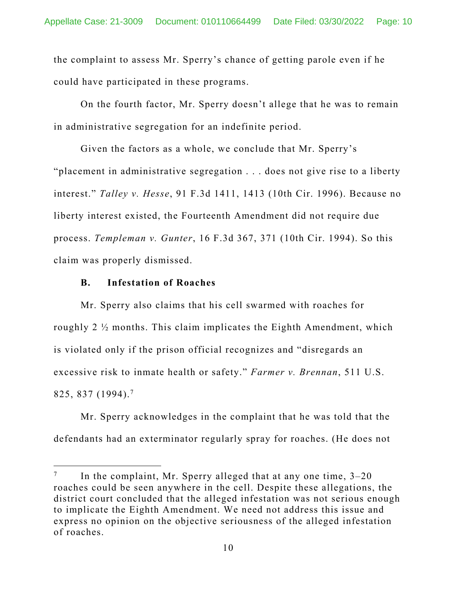the complaint to assess Mr. Sperry's chance of getting parole even if he could have participated in these programs.

 On the fourth factor, Mr. Sperry doesn't allege that he was to remain in administrative segregation for an indefinite period.

 Given the factors as a whole, we conclude that Mr. Sperry's "placement in administrative segregation . . . does not give rise to a liberty interest." *Talley v. Hesse*, 91 F.3d 1411, 1413 (10th Cir. 1996). Because no liberty interest existed, the Fourteenth Amendment did not require due process. *Templeman v. Gunter*, 16 F.3d 367, 371 (10th Cir. 1994). So this claim was properly dismissed.

### **B. Infestation of Roaches**

Mr. Sperry also claims that his cell swarmed with roaches for roughly 2 ½ months. This claim implicates the Eighth Amendment, which is violated only if the prison official recognizes and "disregards an excessive risk to inmate health or safety." *Farmer v. Brennan*, 511 U.S. 825, 837 (1994).7

 Mr. Sperry acknowledges in the complaint that he was told that the defendants had an exterminator regularly spray for roaches. (He does not

<sup>7</sup> In the complaint, Mr. Sperry alleged that at any one time, 3–20 roaches could be seen anywhere in the cell. Despite these allegations, the district court concluded that the alleged infestation was not serious enough to implicate the Eighth Amendment. We need not address this issue and express no opinion on the objective seriousness of the alleged infestation of roaches.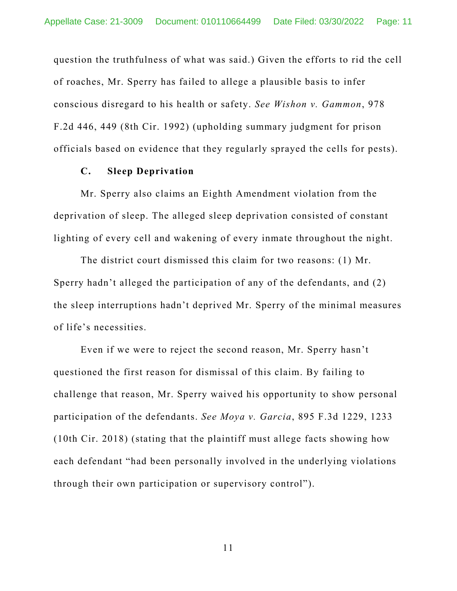question the truthfulness of what was said.) Given the efforts to rid the cell of roaches, Mr. Sperry has failed to allege a plausible basis to infer conscious disregard to his health or safety. *See Wishon v. Gammon*, 978 F.2d 446, 449 (8th Cir. 1992) (upholding summary judgment for prison officials based on evidence that they regularly sprayed the cells for pests).

### **C. Sleep Deprivation**

Mr. Sperry also claims an Eighth Amendment violation from the deprivation of sleep. The alleged sleep deprivation consisted of constant lighting of every cell and wakening of every inmate throughout the night.

The district court dismissed this claim for two reasons: (1) Mr. Sperry hadn't alleged the participation of any of the defendants, and (2) the sleep interruptions hadn't deprived Mr. Sperry of the minimal measures of life's necessities.

 Even if we were to reject the second reason, Mr. Sperry hasn't questioned the first reason for dismissal of this claim. By failing to challenge that reason, Mr. Sperry waived his opportunity to show personal participation of the defendants. *See Moya v. Garcia*, 895 F.3d 1229, 1233 (10th Cir. 2018) (stating that the plaintiff must allege facts showing how each defendant "had been personally involved in the underlying violations through their own participation or supervisory control").

11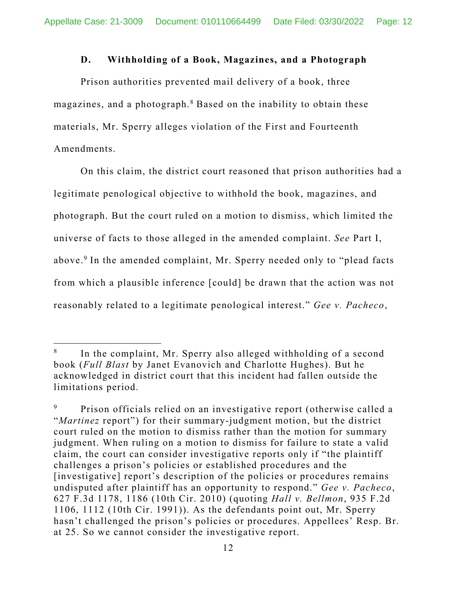### **D. Withholding of a Book, Magazines, and a Photograph**

Prison authorities prevented mail delivery of a book, three magazines, and a photograph.<sup>8</sup> Based on the inability to obtain these materials, Mr. Sperry alleges violation of the First and Fourteenth Amendments.

On this claim, the district court reasoned that prison authorities had a legitimate penological objective to withhold the book, magazines, and photograph. But the court ruled on a motion to dismiss, which limited the universe of facts to those alleged in the amended complaint. *See* Part I, above.<sup>9</sup> In the amended complaint, Mr. Sperry needed only to "plead facts from which a plausible inference [could] be drawn that the action was not reasonably related to a legitimate penological interest." *Gee v. Pacheco*,

<sup>8</sup> In the complaint, Mr. Sperry also alleged withholding of a second book (*Full Blast* by Janet Evanovich and Charlotte Hughes). But he acknowledged in district court that this incident had fallen outside the limitations period.

<sup>9</sup> Prison officials relied on an investigative report (otherwise called a "*Martinez* report") for their summary-judgment motion, but the district court ruled on the motion to dismiss rather than the motion for summary judgment. When ruling on a motion to dismiss for failure to state a valid claim, the court can consider investigative reports only if "the plaintiff challenges a prison's policies or established procedures and the [investigative] report's description of the policies or procedures remains undisputed after plaintiff has an opportunity to respond." *Gee v. Pacheco*, 627 F.3d 1178, 1186 (10th Cir. 2010) (quoting *Hall v. Bellmon*, 935 F.2d 1106, 1112 (10th Cir. 1991)). As the defendants point out, Mr. Sperry hasn't challenged the prison's policies or procedures. Appellees' Resp. Br. at 25. So we cannot consider the investigative report.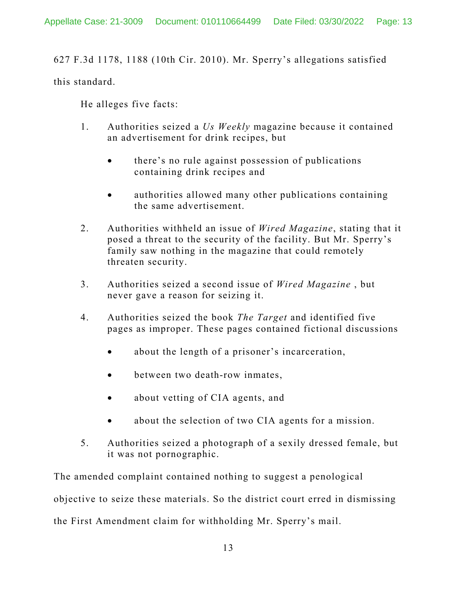627 F.3d 1178, 1188 (10th Cir. 2010). Mr. Sperry's allegations satisfied

this standard.

He alleges five facts:

- 1. Authorities seized a *Us Weekly* magazine because it contained an advertisement for drink recipes, but
	- there's no rule against possession of publications containing drink recipes and
	- authorities allowed many other publications containing the same advertisement.
- 2. Authorities withheld an issue of *Wired Magazine*, stating that it posed a threat to the security of the facility. But Mr. Sperry's family saw nothing in the magazine that could remotely threaten security.
- 3. Authorities seized a second issue of *Wired Magazine* , but never gave a reason for seizing it.
- 4. Authorities seized the book *The Target* and identified five pages as improper. These pages contained fictional discussions
	- about the length of a prisoner's incarceration,
	- between two death-row inmates,
	- about vetting of CIA agents, and
	- about the selection of two CIA agents for a mission.
- 5. Authorities seized a photograph of a sexily dressed female, but it was not pornographic.

The amended complaint contained nothing to suggest a penological objective to seize these materials. So the district court erred in dismissing the First Amendment claim for withholding Mr. Sperry's mail.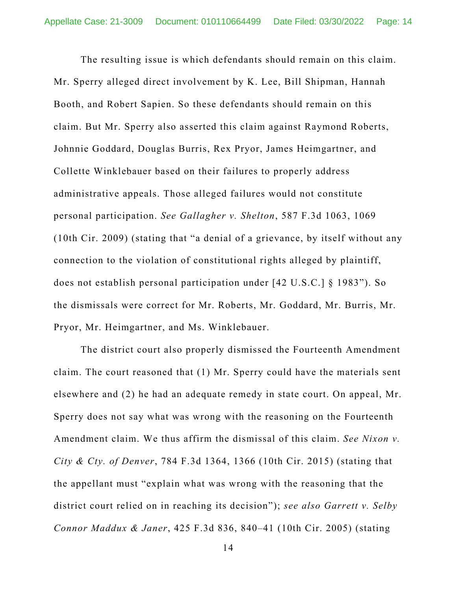The resulting issue is which defendants should remain on this claim. Mr. Sperry alleged direct involvement by K. Lee, Bill Shipman, Hannah Booth, and Robert Sapien. So these defendants should remain on this claim. But Mr. Sperry also asserted this claim against Raymond Roberts, Johnnie Goddard, Douglas Burris, Rex Pryor, James Heimgartner, and Collette Winklebauer based on their failures to properly address administrative appeals. Those alleged failures would not constitute personal participation. *See Gallagher v. Shelton*, 587 F.3d 1063, 1069 (10th Cir. 2009) (stating that "a denial of a grievance, by itself without any connection to the violation of constitutional rights alleged by plaintiff, does not establish personal participation under [42 U.S.C.] § 1983"). So the dismissals were correct for Mr. Roberts, Mr. Goddard, Mr. Burris, Mr. Pryor, Mr. Heimgartner, and Ms. Winklebauer.

 The district court also properly dismissed the Fourteenth Amendment claim. The court reasoned that (1) Mr. Sperry could have the materials sent elsewhere and (2) he had an adequate remedy in state court. On appeal, Mr. Sperry does not say what was wrong with the reasoning on the Fourteenth Amendment claim. We thus affirm the dismissal of this claim. *See Nixon v. City & Cty. of Denver*, 784 F.3d 1364, 1366 (10th Cir. 2015) (stating that the appellant must "explain what was wrong with the reasoning that the district court relied on in reaching its decision"); *see also Garrett v. Selby Connor Maddux & Janer*, 425 F.3d 836, 840–41 (10th Cir. 2005) (stating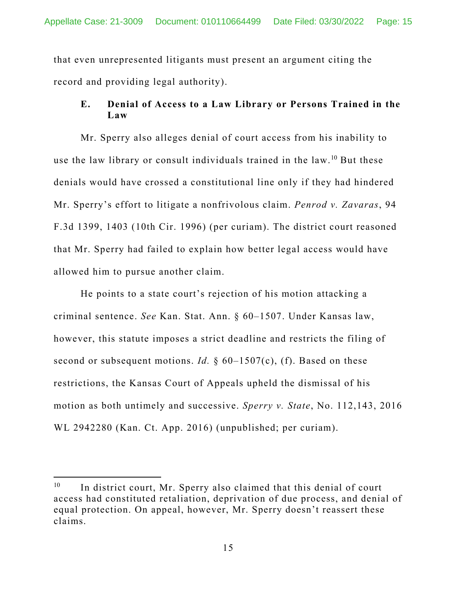that even unrepresented litigants must present an argument citing the record and providing legal authority).

# **E. Denial of Access to a Law Library or Persons Trained in the Law**

Mr. Sperry also alleges denial of court access from his inability to use the law library or consult individuals trained in the law.10 But these denials would have crossed a constitutional line only if they had hindered Mr. Sperry's effort to litigate a nonfrivolous claim. *Penrod v. Zavaras*, 94 F.3d 1399, 1403 (10th Cir. 1996) (per curiam). The district court reasoned that Mr. Sperry had failed to explain how better legal access would have allowed him to pursue another claim.

He points to a state court's rejection of his motion attacking a criminal sentence. *See* Kan. Stat. Ann. § 60–1507. Under Kansas law, however, this statute imposes a strict deadline and restricts the filing of second or subsequent motions. *Id.* § 60–1507(c), (f). Based on these restrictions, the Kansas Court of Appeals upheld the dismissal of his motion as both untimely and successive. *Sperry v. State*, No. 112,143, 2016 WL 2942280 (Kan. Ct. App. 2016) (unpublished; per curiam).

 $10$  In district court, Mr. Sperry also claimed that this denial of court access had constituted retaliation, deprivation of due process, and denial of equal protection. On appeal, however, Mr. Sperry doesn't reassert these claims.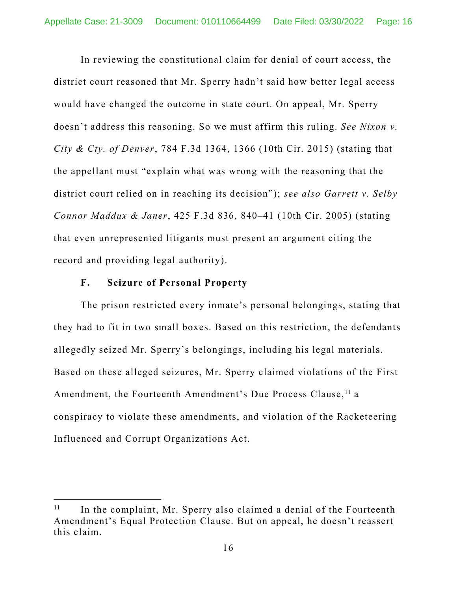In reviewing the constitutional claim for denial of court access, the district court reasoned that Mr. Sperry hadn't said how better legal access would have changed the outcome in state court. On appeal, Mr. Sperry doesn't address this reasoning. So we must affirm this ruling. *See Nixon v. City & Cty. of Denver*, 784 F.3d 1364, 1366 (10th Cir. 2015) (stating that the appellant must "explain what was wrong with the reasoning that the district court relied on in reaching its decision"); *see also Garrett v. Selby Connor Maddux & Janer*, 425 F.3d 836, 840–41 (10th Cir. 2005) (stating that even unrepresented litigants must present an argument citing the record and providing legal authority).

### **F. Seizure of Personal Property**

The prison restricted every inmate's personal belongings, stating that they had to fit in two small boxes. Based on this restriction, the defendants allegedly seized Mr. Sperry's belongings, including his legal materials. Based on these alleged seizures, Mr. Sperry claimed violations of the First Amendment, the Fourteenth Amendment's Due Process Clause,<sup>11</sup> a conspiracy to violate these amendments, and violation of the Racketeering Influenced and Corrupt Organizations Act.

 $11$  In the complaint, Mr. Sperry also claimed a denial of the Fourteenth Amendment's Equal Protection Clause. But on appeal, he doesn't reassert this claim.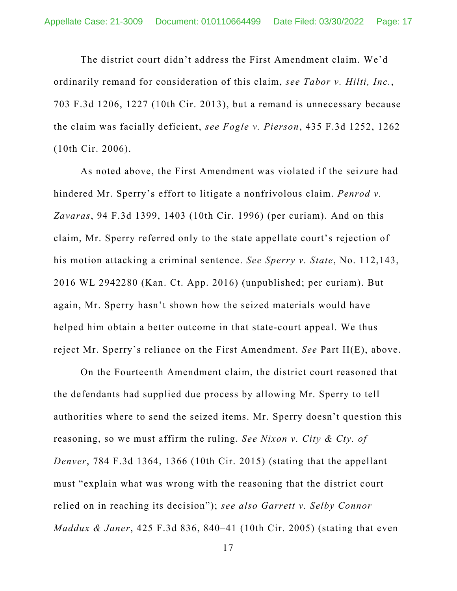The district court didn't address the First Amendment claim. We'd ordinarily remand for consideration of this claim, *see Tabor v. Hilti, Inc.*, 703 F.3d 1206, 1227 (10th Cir. 2013), but a remand is unnecessary because the claim was facially deficient, *see Fogle v. Pierson*, 435 F.3d 1252, 1262 (10th Cir. 2006).

As noted above, the First Amendment was violated if the seizure had hindered Mr. Sperry's effort to litigate a nonfrivolous claim. *Penrod v. Zavaras*, 94 F.3d 1399, 1403 (10th Cir. 1996) (per curiam). And on this claim, Mr. Sperry referred only to the state appellate court's rejection of his motion attacking a criminal sentence. *See Sperry v. State*, No. 112,143, 2016 WL 2942280 (Kan. Ct. App. 2016) (unpublished; per curiam). But again, Mr. Sperry hasn't shown how the seized materials would have helped him obtain a better outcome in that state-court appeal. We thus reject Mr. Sperry's reliance on the First Amendment. *See* Part II(E), above.

On the Fourteenth Amendment claim, the district court reasoned that the defendants had supplied due process by allowing Mr. Sperry to tell authorities where to send the seized items. Mr. Sperry doesn't question this reasoning, so we must affirm the ruling. *See Nixon v. City & Cty. of Denver*, 784 F.3d 1364, 1366 (10th Cir. 2015) (stating that the appellant must "explain what was wrong with the reasoning that the district court relied on in reaching its decision"); *see also Garrett v. Selby Connor Maddux & Janer*, 425 F.3d 836, 840–41 (10th Cir. 2005) (stating that even

17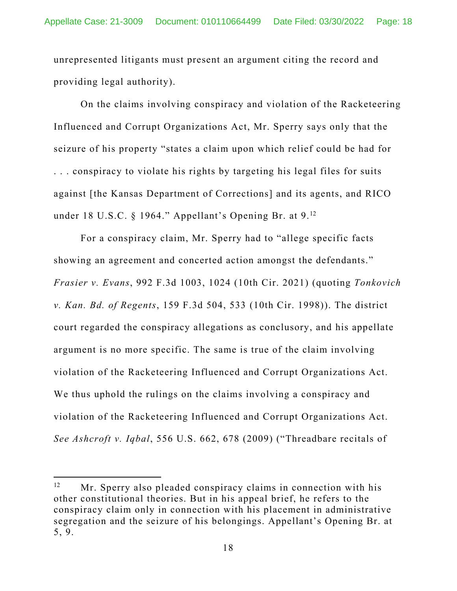unrepresented litigants must present an argument citing the record and providing legal authority).

On the claims involving conspiracy and violation of the Racketeering Influenced and Corrupt Organizations Act, Mr. Sperry says only that the seizure of his property "states a claim upon which relief could be had for . . . conspiracy to violate his rights by targeting his legal files for suits against [the Kansas Department of Corrections] and its agents, and RICO under 18 U.S.C. § 1964." Appellant's Opening Br. at 9.<sup>12</sup>

For a conspiracy claim, Mr. Sperry had to "allege specific facts showing an agreement and concerted action amongst the defendants." *Frasier v. Evans*, 992 F.3d 1003, 1024 (10th Cir. 2021) (quoting *Tonkovich v. Kan. Bd. of Regents*, 159 F.3d 504, 533 (10th Cir. 1998)). The district court regarded the conspiracy allegations as conclusory, and his appellate argument is no more specific. The same is true of the claim involving violation of the Racketeering Influenced and Corrupt Organizations Act. We thus uphold the rulings on the claims involving a conspiracy and violation of the Racketeering Influenced and Corrupt Organizations Act. *See Ashcroft v. Iqbal*, 556 U.S. 662, 678 (2009) ("Threadbare recitals of

<sup>&</sup>lt;sup>12</sup> Mr. Sperry also pleaded conspiracy claims in connection with his other constitutional theories. But in his appeal brief, he refers to the conspiracy claim only in connection with his placement in administrative segregation and the seizure of his belongings. Appellant's Opening Br. at 5, 9.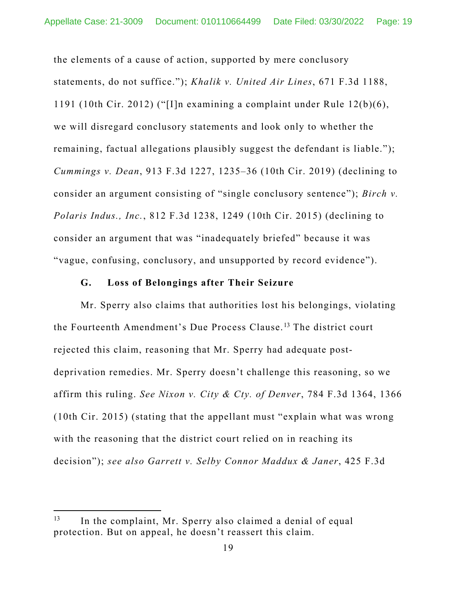the elements of a cause of action, supported by mere conclusory statements, do not suffice."); *Khalik v. United Air Lines*, 671 F.3d 1188, 1191 (10th Cir. 2012) ("[I]n examining a complaint under Rule 12(b)(6), we will disregard conclusory statements and look only to whether the remaining, factual allegations plausibly suggest the defendant is liable."); *Cummings v. Dean*, 913 F.3d 1227, 1235–36 (10th Cir. 2019) (declining to consider an argument consisting of "single conclusory sentence"); *Birch v. Polaris Indus., Inc.*, 812 F.3d 1238, 1249 (10th Cir. 2015) (declining to consider an argument that was "inadequately briefed" because it was "vague, confusing, conclusory, and unsupported by record evidence").

#### **G. Loss of Belongings after Their Seizure**

Mr. Sperry also claims that authorities lost his belongings, violating the Fourteenth Amendment's Due Process Clause.13 The district court rejected this claim, reasoning that Mr. Sperry had adequate postdeprivation remedies. Mr. Sperry doesn't challenge this reasoning, so we affirm this ruling. *See Nixon v. City & Cty. of Denver*, 784 F.3d 1364, 1366 (10th Cir. 2015) (stating that the appellant must "explain what was wrong with the reasoning that the district court relied on in reaching its decision"); *see also Garrett v. Selby Connor Maddux & Janer*, 425 F.3d

<sup>&</sup>lt;sup>13</sup> In the complaint, Mr. Sperry also claimed a denial of equal protection. But on appeal, he doesn't reassert this claim.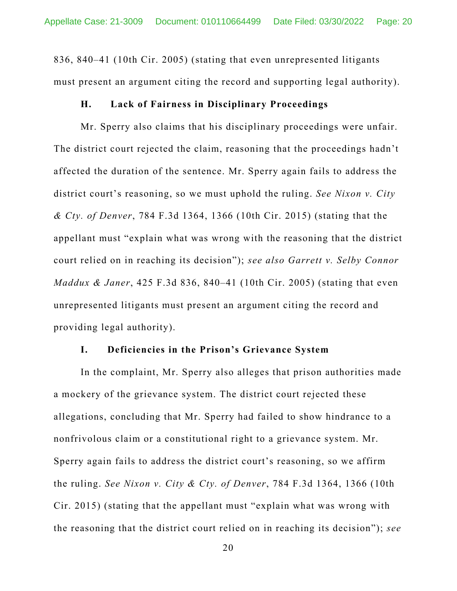836, 840–41 (10th Cir. 2005) (stating that even unrepresented litigants must present an argument citing the record and supporting legal authority).

### **H. Lack of Fairness in Disciplinary Proceedings**

Mr. Sperry also claims that his disciplinary proceedings were unfair. The district court rejected the claim, reasoning that the proceedings hadn't affected the duration of the sentence. Mr. Sperry again fails to address the district court's reasoning, so we must uphold the ruling. *See Nixon v. City & Cty. of Denver*, 784 F.3d 1364, 1366 (10th Cir. 2015) (stating that the appellant must "explain what was wrong with the reasoning that the district court relied on in reaching its decision"); *see also Garrett v. Selby Connor Maddux & Janer*, 425 F.3d 836, 840–41 (10th Cir. 2005) (stating that even unrepresented litigants must present an argument citing the record and providing legal authority).

#### **I. Deficiencies in the Prison's Grievance System**

In the complaint, Mr. Sperry also alleges that prison authorities made a mockery of the grievance system. The district court rejected these allegations, concluding that Mr. Sperry had failed to show hindrance to a nonfrivolous claim or a constitutional right to a grievance system. Mr. Sperry again fails to address the district court's reasoning, so we affirm the ruling. *See Nixon v. City & Cty. of Denver*, 784 F.3d 1364, 1366 (10th Cir. 2015) (stating that the appellant must "explain what was wrong with the reasoning that the district court relied on in reaching its decision"); *see* 

20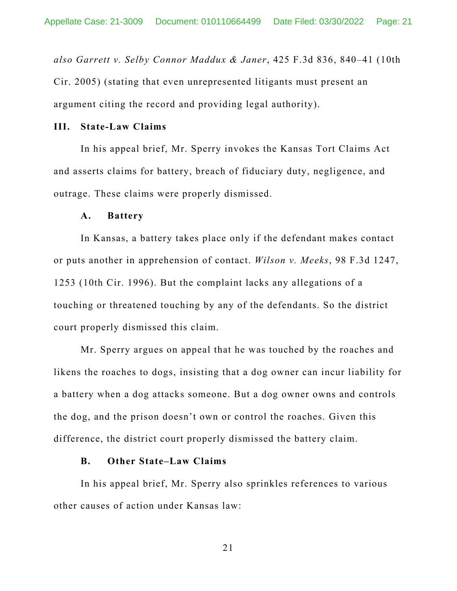*also Garrett v. Selby Connor Maddux & Janer*, 425 F.3d 836, 840–41 (10th Cir. 2005) (stating that even unrepresented litigants must present an argument citing the record and providing legal authority).

### **III. State-Law Claims**

In his appeal brief, Mr. Sperry invokes the Kansas Tort Claims Act and asserts claims for battery, breach of fiduciary duty, negligence, and outrage. These claims were properly dismissed.

#### **A. Battery**

In Kansas, a battery takes place only if the defendant makes contact or puts another in apprehension of contact. *Wilson v. Meeks*, 98 F.3d 1247, 1253 (10th Cir. 1996). But the complaint lacks any allegations of a touching or threatened touching by any of the defendants. So the district court properly dismissed this claim.

 Mr. Sperry argues on appeal that he was touched by the roaches and likens the roaches to dogs, insisting that a dog owner can incur liability for a battery when a dog attacks someone. But a dog owner owns and controls the dog, and the prison doesn't own or control the roaches. Given this difference, the district court properly dismissed the battery claim.

#### **B. Other State–Law Claims**

In his appeal brief, Mr. Sperry also sprinkles references to various other causes of action under Kansas law:

21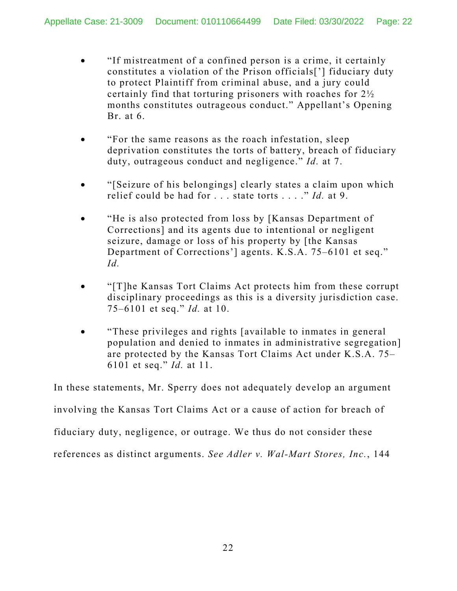- "If mistreatment of a confined person is a crime, it certainly constitutes a violation of the Prison officials['] fiduciary duty to protect Plaintiff from criminal abuse, and a jury could certainly find that torturing prisoners with roaches for 2½ months constitutes outrageous conduct." Appellant's Opening Br. at 6.
- "For the same reasons as the roach infestation, sleep deprivation constitutes the torts of battery, breach of fiduciary duty, outrageous conduct and negligence." *Id.* at 7.
- "[Seizure of his belongings] clearly states a claim upon which relief could be had for . . . state torts . . . ." *Id.* at 9.
- "He is also protected from loss by [Kansas Department of Corrections] and its agents due to intentional or negligent seizure, damage or loss of his property by [the Kansas Department of Corrections'] agents. K.S.A. 75–6101 et seq." *Id.*
- "[T]he Kansas Tort Claims Act protects him from these corrupt disciplinary proceedings as this is a diversity jurisdiction case. 75–6101 et seq." *Id.* at 10.
- "These privileges and rights [available to inmates in general population and denied to inmates in administrative segregation] are protected by the Kansas Tort Claims Act under K.S.A. 75– 6101 et seq." *Id.* at 11.

In these statements, Mr. Sperry does not adequately develop an argument involving the Kansas Tort Claims Act or a cause of action for breach of fiduciary duty, negligence, or outrage. We thus do not consider these references as distinct arguments. *See Adler v. Wal-Mart Stores, Inc.*, 144